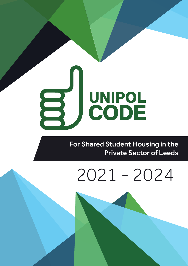# UNIPOL<br>CODE E

For Shared Student Housing in the Private Sector of Leeds

# 2021 - 2024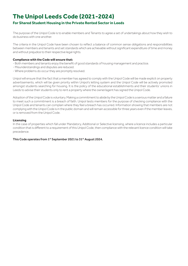# **The Unipol Leeds Code (2021-2024)**

# **For Shared Student Housing in the Private Rented Sector in Leeds**

The purpose of the Unipol Code is to enable members and Tenants to agree a set of undertakings about how they wish to do business with one another.

The criteria in the Unipol Code have been chosen to reflect a balance of common sense obligations and responsibilities between members and tenants and set standards which are achievable without significant expenditure of time and money and without prejudice to their respective legal rights.

#### **Compliance with the Code will ensure that:**

- Both members and tenants enjoy the benefit of good standards of housing management and practice.
- Misunderstandings and disputes are reduced.
- Where problems do occur they are promptly resolved.

Unipol will ensure that the fact that a member has agreed to comply with the Unipol Code will be made explicit on property advertisements, which will be given priority within Unipol's letting system and the Unipol Code will be actively promoted amongst students searching for housing. It is the policy of the educational establishments and their students' unions in Leeds to advise their students only to rent a property where the owner/agent has signed the Unipol Code.

Adoption of the Unipol Code is voluntary. Making a commitment to abide by the Unipol Code is a serious matter and a failure to meet such a commitment is a breach of faith. Unipol tests members for the purpose of checking compliance with the Unipol Code and tenants can complain where they feel a breach has occurred. Information showing that members are not complying with the Unipol Code is in the public domain and will remain accessible for three years even if the member leaves, or is removed from the Unipol Code.

#### **Licensing**

In the case of properties which fall under Mandatory, Additional or Selective licensing, where a licence includes a particular condition that is different to a requirement of this Unipol Code, then compliance with the relevant licence condition will take precedence.

This Code operates from 1<sup>st</sup> September 2021 to 31<sup>st</sup> August 2024.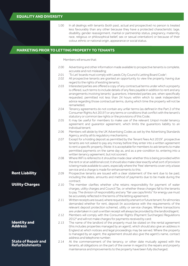# EQUALITY AND DIVERSITY **EQUALITY AND DIVERSITY**

1.00 In all dealings with tenants (both past, actual and prospective) no person is treated less favourably than any other because they have a protected characteristic (age, disability, gender reassignment, marital or partnership status, pregnancy, maternity, race, religious or philosophical belief, sex or sexual orientation) or because of their colour, ethnic or national origin, appearance or social status.

# **MARKETING PRIOR TO LETTING PROPERTY TO TENANTS**

Members will ensure that:

- 2.00 Advertising and other information made available to prospective tenants is complete, accurate and not misleading;
- 2.01 To Let' boards must comply with Leeds City Council's Letting Board Code<sup>1</sup>;
- 2.02 All prospective tenants are granted an opportunity to view the property, having due regard to the rights of existing tenants;
- 2.03 Interested parties are offered a copy of any contractual terms under which a property is offered, such terms to include details of any fees payable in addition to rent and any arrangements involving tenants' guarantors. Interested parties are, when specifically requested, permitted not less than 24 hours within which to seek independent advice regarding those contractual terms, during which time the property will not be remarketed;
- 2.04 Tenancy agreements do not contain any unfair terms (as defined in the Part 2 of the Consumer Rights Act 20152 ) or any terms or conditions that conflict with the tenant's statutory or common law rights or the provisions of this Code;
- 2.05 It may be useful for members to make use of the relevant Unipol model tenancy agreement and guarantor agreement, which limits the guarantors liability to an individual tenant;
- 2.06 Members will abide by the UK Advertising Codes as set by the Advertising Standards Agency, and by all its regulatory mechanisms;
- 2.07 Except for a holding deposit as permitted by the Tenant Fees Act 2019<sup>3</sup>, prospective tenants are not asked to pay any money before they enter into a written agreement to rent a specific property. (Note: it is acceptable for members to ask tenants to make permitted payments on the same day as, and as a pre-condition to, entering into a written tenancy agreement, but not sooner);
- 2.08 Where WiFi is referred to it should be made clear whether this is being provided within the rent or at an additional cost; it should also make clear exactly what sort of provision is being made available to users, especially where the 'free' elements cover only a base service and a charge is made for enhancements to this;
- 2.09 Prospective tenants are issued with a clear statement of the rent due to be paid, including the dates, amounts and method of payments due to be made during the contract;
- 2.10 The member clarifies whether s/he retains responsibility for payment of water charges, utility charges and Council Tax, or whether these charges fall to the tenants to pay. The division of responsibility and any "fair use caps/limits" for energy use must be accurately reflected in the terms of the letting agreement;
- 2.11 Written receipts are issued, where requested by a tenant or future tenant, for all monies demanded whether for rent, deposit (in accordance with the requirements of the relevant deposit protection scheme), utility or service charges. Where transactions are undertaken in cash a written receipt will always be provided by the landlord/agent;
- 2.12 Members will comply with the Consumer Rights (Payment Surcharges) Regulations 20124 and will not make charges for payments received by card;

2.13 The name of the landlord of the property must be stated on the rental agreement (this includes properties managed by an agent), which should also give an address in England at which notices and legal proceedings may be served. Where the property is managed by an agent, the agreement should also give the agent's name, contact address and telephone number;

2.14 At the commencement of the tenancy, or other date mutually agreed with the tenants, all obligations on the part of the owner in regard to the repairs and property maintenance and improvements to the property have been fully discharged;

Rent Liability

Utility Charges

Identity and **Address** 

**State of Repair and Refurbishments**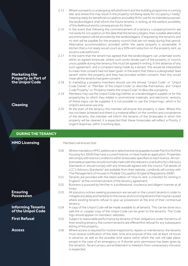|                                                                       | 2.15<br>2.16 | Where a property is undergoing refurbishment and the building programme is running<br>late, and where this may result in the property not being ready for occupancy ("ready"<br>meaning ready for beneficial occupation and safely fit for use for its intended purpose),<br>the landlord/agent shall inform the future tenants, in writing, at the earliest possibility<br>of this likelihood and its consequences for them;<br>In the event that following the commencement of a tenancy a property/room/s are<br>not ready for occupation on the date that the tenancy begins, then suitable alternative                                                                |
|-----------------------------------------------------------------------|--------------|----------------------------------------------------------------------------------------------------------------------------------------------------------------------------------------------------------------------------------------------------------------------------------------------------------------------------------------------------------------------------------------------------------------------------------------------------------------------------------------------------------------------------------------------------------------------------------------------------------------------------------------------------------------------------|
|                                                                       | 2.17         | accommodation will be provided by the landlord/agent, if required by the tenant/s and<br>no rent will be payable for the property room/s that are not ready during that period.<br>Alternative accommodation provided within the same property is acceptable. A<br>kitchen that is not ready would count as a 50% rent reduction on the property rent, as<br>would a sole bathroom:<br>In the event that the tenant has agreed that the landlord/agent can undertake works<br>within an agreed timescale, where such works render part of the property or room/s                                                                                                           |
| <b>Marketing the</b><br><b>Property as Part of</b><br>the Unipol Code | 2.18         | unoccupiable during the tenancy this must be agreed in writing. In the absence of any<br>such agreement, and a complaint being made by a tenant, this would be interpreted<br>to mean that consent had not been given. In the event that there is a designated 'lead<br>tenant' within the property and they had provided written consent, then this would<br>mean all the tenants had given consent;<br>In marketing a property members should use the phrase "Unipol Code" or "Unipol                                                                                                                                                                                    |
| <b>Cleaning</b>                                                       | 2.19         | Code Owner" or "Member of the Unipol Code" to describe themselves, and "Unipol<br>Code Property" or "Property meets the Unipol Code" to describe a property;<br>Members may use the Unipol Code logo (either as a landlord/agent supplier or for the<br>property/ies to which they relate) in promotional materials, and electronic versions<br>of these logos can be supplied. It is not possible to use the Unipol logo, which is for<br>Unipol's exclusive use only.                                                                                                                                                                                                    |
|                                                                       | 2.20         | At the start of the tenancy the member will ensure the property is clean. Where this<br>has not been achieved and there is a material effect on the comfort and convenience<br>of the tenants, the member will inform the tenants of the timescales in which the<br>property will be cleaned; it is expected that these timescales will reflect a Priority 2<br>Urgent response, within 5 working days.                                                                                                                                                                                                                                                                    |
| <b>DURING THE TENANCY</b>                                             |              |                                                                                                                                                                                                                                                                                                                                                                                                                                                                                                                                                                                                                                                                            |
| <b>HMO Licensing</b>                                                  |              | Members will ensure that:                                                                                                                                                                                                                                                                                                                                                                                                                                                                                                                                                                                                                                                  |
|                                                                       | 3.00         | Where mandatory HMO, additional or selective licensing applies (under Part II or III of the<br>Housing Act 2004) they have a current licence, or have made an application. Properties<br>will comply with licence conditions within timescales specified on each licence. All non-<br>licensable properties should normally meet with the relevant Local Authority's Advisory<br>Standards or should comply with any timescale agreed with the council. Full details of<br>LCC's Advisory Standards <sup>5</sup> are available from their website. Landlords will comply with<br>The Management of Houses in Multiple Occupation (England) Regulations 2006 <sup>6</sup> ; |
|                                                                       | 3.01         | Tenants are provided with the latest edition of 'How to rent: a checklist for renting in<br>England <sup>7</sup> ' at the commencement of the tenancy agreement;                                                                                                                                                                                                                                                                                                                                                                                                                                                                                                           |
|                                                                       | 3.02         | Business is pursued by him/her in a professional, courteous and diligent manner at all<br>times:                                                                                                                                                                                                                                                                                                                                                                                                                                                                                                                                                                           |

**Ensuring Possession**

**Informing Tenants of the Unipol Code**

**First Refusal**

**Access**

3.03 All statutory notices seeking possession are served on the current tenants in order to mitigate any delay and hardship to the owner and incoming tenants that may be caused where existing tenants refuse to give up possession at the end of their contractual tenancy;

3.04 A copy of the Unipol Code will be made available to all tenants. This can be done via a web link or a paper copy of the Unipol Code can be given to the tenant/s. The Code logo should appear on members' websites;

3.05 Subject to reasonable performance by tenants of their obligations under the terms of their existing tenancy, the current tenant/s are offered first refusal for any subsequent letting of the property;

3.06 Where access is required for routine inspection/s, repairs or maintenance, the tenants must receive notification of the date, time and purpose of the visit at least 24 hours in advance, as well as the possible time spans within which the visit will take place, except in the case of an emergency or if shorter prior permission has been given by the tenant/s. Tenant privacy and entitlement to freedom from unnecessary intrusion is respected;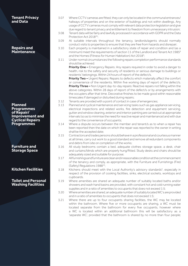| <b>Tenant Privacy</b><br>and Data                       | 3.07         | Where CCTV cameras are fitted, they can only be located in the communal entrances/<br>hallways of properties and on the exterior of buildings and not within dwellings. Any                                                                                                                                                                             |
|---------------------------------------------------------|--------------|---------------------------------------------------------------------------------------------------------------------------------------------------------------------------------------------------------------------------------------------------------------------------------------------------------------------------------------------------------|
|                                                         |              | usage of CCTV cameras must comply with relevant data protection legislation and give<br>due regard to tenant privacy and entitlement to freedom from unnecessary intrusion;                                                                                                                                                                             |
|                                                         | 3.08         | Tenant data will be fairly and lawfully processed in accordance with GDPR and the Data<br>Protection Act 2018 <sup>26</sup> ;                                                                                                                                                                                                                           |
|                                                         | 3.09         | At suitable intervals throughout the tenancy, landlords/agents should normally                                                                                                                                                                                                                                                                          |
| <b>Repairs and</b><br><b>Maintenance</b>                | 3.10         | conduct visits to properties to ensure that they are free from hazards and disrepair;<br>Each property is maintained in a satisfactory state of repair and condition and (as a<br>minimum) meet the requirements of section 11 of the Landlord and Tenant Act 1985 <sup>8</sup><br>and the Homes (Fitness for Human Habitation) Act 2018 <sup>9</sup> ; |
|                                                         | 3.11         | Under normal circumstances the following repairs completion performance standards<br>should be achieved:                                                                                                                                                                                                                                                |
|                                                         |              | Priority One - Emergency Repairs: Any repairs required in order to avoid a danger to<br>health, risk to the safety and security of residents or serious damage to buildings or<br>residents' belongings. Within 24 hours of report of the defect/s.<br>Priority Two - Urgent Repairs: Repairs to defects which materially affect the comfort            |
|                                                         |              | or convenience of the residents. Within five working days of report of the defect/s.                                                                                                                                                                                                                                                                    |
|                                                         |              | Priority Three - Non Urgent day-to-day repairs: Reactive repairs not falling within the<br>above categories. Within 28 days of report of the defect/s or by arrangements with                                                                                                                                                                           |
|                                                         |              | the occupiers after that time. Decorative finishes to be made good within reasonable                                                                                                                                                                                                                                                                    |
|                                                         |              | timescales if damaged or disturbed during repairs;                                                                                                                                                                                                                                                                                                      |
| <b>Planned</b>                                          | 3.12<br>3.13 | Tenants are provided with a point of contact in case of emergencies;<br>Planned and cyclical maintenance and servicing tasks such as gas appliance servicing,                                                                                                                                                                                           |
| <b>Programmes</b>                                       |              | electrical inspections and related works, fire detection and equipment servicing,                                                                                                                                                                                                                                                                       |
| of Repair/                                              |              | gutter and window cleaning, exterior and interior painting are carried out at appropriate                                                                                                                                                                                                                                                               |
| <b>Improvement and</b><br><b>Cyclical Repairs</b>       |              | intervals (so as to minimise the need for reactive repair and maintenance) and with due<br>regard to the convenience of occupants;                                                                                                                                                                                                                      |
| <b>Programmes</b>                                       | 3.14         | Where a dispute occurs between the member and tenant/s as to when a repair has                                                                                                                                                                                                                                                                          |
|                                                         |              | been reported then the date on which the repair was reported to the owner in writing                                                                                                                                                                                                                                                                    |
|                                                         |              | shall be the accepted date;                                                                                                                                                                                                                                                                                                                             |
|                                                         | 3.15         | Contractors and trades persons should behave in a professional and courteous manner<br>at all times, carry out work to a good standard and remove all redundant components                                                                                                                                                                              |
|                                                         |              | and debris from site on completion of the works;                                                                                                                                                                                                                                                                                                        |
| <b>Furniture and</b><br><b>Storage Space</b>            | 3.16         | All study bedrooms contain a bed, adequate clothes storage space, a desk, chair<br>and curtains/blinds which are properly hung/fitted. Study desks and chairs should be<br>adequately sized and suitable for purpose;                                                                                                                                   |
|                                                         | 3.17         | Allfurnishings and furniture are clean and inreasonable condition at the commencement                                                                                                                                                                                                                                                                   |
|                                                         |              | of the tenancy and comply, as appropriate, with the Furniture and Furnishings (Fire)<br>(Safety) Regulations 1988 <sup>10</sup> ;                                                                                                                                                                                                                       |
| <b>Kitchen Facilities</b>                               | 3.18         | Kitchens should meet with the Local Authority's advisory standards <sup>5</sup> , especially in                                                                                                                                                                                                                                                         |
|                                                         |              | respect of the provision of cooking facilities, sinks, electrical sockets, worktops and<br>cupboards.                                                                                                                                                                                                                                                   |
| <b>Toilet and Personal</b><br><b>Washing Facilities</b> | 3.19         | Where amenities are shared an adequate number of suitably located baths and/or<br>showers and wash hand basins are provided, with constant hot and cold running water<br>supplies and in a ratio of amenities to occupants that does not exceed 1:5;                                                                                                    |
|                                                         | 3.20         | Where amenities are shared, an adequate number of suitably located WC's are provided                                                                                                                                                                                                                                                                    |
|                                                         | 3.21         | and in a ratio of amenities to occupants that does not exceed 1:5;<br>Where there are up to four occupants sharing facilities, the WC may be located                                                                                                                                                                                                    |
|                                                         |              | within the bathroom. Where five or more occupants are sharing, a WC must be                                                                                                                                                                                                                                                                             |
|                                                         |              | located separate from the bathroom for every five occupants, however where<br>a WC is located within an additional bathroom this will be satisfactory as a<br>'separate WC', provided that the bathroom is shared by no more than four people;                                                                                                          |
|                                                         |              |                                                                                                                                                                                                                                                                                                                                                         |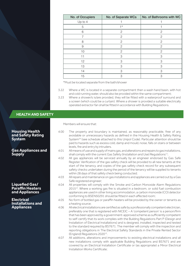| No. of Occupiers | No. of Separate WCs | No. of Bathrooms with WC |
|------------------|---------------------|--------------------------|
| Up to 4          |                     |                          |
| 5                | $1*$                |                          |
| 6                | 2                   | $\mathbf{2}$             |
|                  | 2                   | $\mathbf{2}$             |
| 8                | $\mathcal{P}$       | $\mathfrak{D}$           |
| 9                | $\mathcal{P}$       | $\mathcal{P}$            |
| 10               | $\mathcal{P}$       | $\mathcal{P}$            |
| 11               | 3                   | 3                        |
| 12               | 3                   | 3                        |
| 13               | 3                   | 3                        |
| 14               | 3                   | 3                        |
| 15               | 3                   | 3                        |

\*Must be located separate from the bath/shower

- 3.22 Where a WC is located in a separate compartment then a wash hand basin, with hot and cold running water, should also be provided within the same compartment;
- 3.23 Where a shower/s is/are provided, they will be fitted with a waterproof surround and a screen (which could be a curtain). Where a shower is provided a suitable electrically operated extractor fan shall be fitted in accordance with Building Regulations.

| <b>HEALTH AND SAFETY</b>                                    |              |                                                                                                                                                                                                                                                                                                                                                                                                                                                                                                                                                                                                                                                                                                  |
|-------------------------------------------------------------|--------------|--------------------------------------------------------------------------------------------------------------------------------------------------------------------------------------------------------------------------------------------------------------------------------------------------------------------------------------------------------------------------------------------------------------------------------------------------------------------------------------------------------------------------------------------------------------------------------------------------------------------------------------------------------------------------------------------------|
|                                                             |              | Members will ensure that:                                                                                                                                                                                                                                                                                                                                                                                                                                                                                                                                                                                                                                                                        |
| <b>Housing Health</b><br>and Safety Rating<br><b>System</b> | 4.00         | The property and boundary is maintained, as reasonably practicable, free of any<br>avoidable or unnecessary hazards as defined in the Housing Health & Safety Rating<br>System <sup>24</sup> (see schedule attached to this Unipol Code). Particular attention should be<br>paid to hazards such as excess cold, damp and mould, noise, falls on stairs or between<br>levels, fire and entry by intruders.                                                                                                                                                                                                                                                                                       |
| <b>Gas Appliances and</b><br><b>Supply</b>                  | 4.01<br>4.02 | All means of use and supply of mains gas, and alterations and repairs to gas installations,<br>shall comply with the current Gas Safety (Installation and Use) Regulations <sup>11</sup> ;<br>All gas appliances will be serviced annually by an engineer endorsed by Gas Safe                                                                                                                                                                                                                                                                                                                                                                                                                   |
|                                                             |              | Register. Verification of the gas safety check will be provided to all new tenants at the<br>start of the tenancy, and copies of the gas safety check record for any subsequent<br>safety checks undertaken during the period of the tenancy will be supplied to tenants<br>within 28 days of that safety check being conducted;                                                                                                                                                                                                                                                                                                                                                                 |
|                                                             | 4.03         | All repairs and maintenance on gas installations and appliances are carried out by a Gas<br>Safe registered engineer;                                                                                                                                                                                                                                                                                                                                                                                                                                                                                                                                                                            |
| Liquefied Gas/<br><b>Paraffin Heaters</b><br>and Appliances | 4.04         | All properties will comply with the Smoke and Carbon Monoxide Alarm Regulations<br>2015 <sup>12</sup> . Where a working gas fire is situated in a bedroom, or solid fuel combustion<br>appliances are used in other living accommodation, a carbon monoxide (CO) detector<br>conforming to BSEN50291 should be fitted in each affected room;                                                                                                                                                                                                                                                                                                                                                     |
| <b>Electrical</b><br><b>Installations and</b>               | 4.05         | No form of bottled gas or paraffin heaters will be provided by the owner or tenants as<br>a heating source;                                                                                                                                                                                                                                                                                                                                                                                                                                                                                                                                                                                      |
| <b>Appliances</b>                                           | 4.06         | All electrical installations are certified as safe by a professionally competent electrician,<br>preferably one that is registered with NICEIC - A 'competent person' is a person/firm<br>that has been approved by a government-approved scheme as sufficiently competent<br>to self-certify that its work complies with the Building Regulations Part P (Design and<br>Installation of Electrical Installations) and is designed, installed, inspected and tested<br>to the standard required by BS7671. The member will comply with the inspection and<br>reporting obligations in The Electrical Safety Standards in the Private Rented Sector<br>(England) Regulations 2020 <sup>13</sup> . |
|                                                             | 4.07         | All additions, alterations and improvements to existing electrical installations and all<br>new installations comply with applicable Building Regulations and BS7671 and are<br>covered by an Electrical Installation Certificate or (as appropriate) a Minor Electrical<br>Installation Works Certificate:                                                                                                                                                                                                                                                                                                                                                                                      |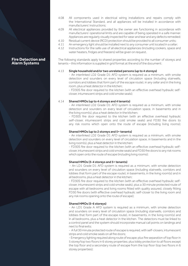- 4.08 All components used in electrical wiring installations and repairs comply with the International Standard, and all appliances will be installed in accordance with manufacturers' instructions;
- 4.09 All electrical appliances provided by the owner are functioning in accordance with manufacturers' operational limits and are capable of being operated in a safe manner. Appliances are regularly visually inspected for wear and tear and any defects remedied;
- 4.10 Residual current device (RCD) protection should be provided to all consumer units;<br>4.11 An emergency light should be installed next to any consumer unit located in a cellar
- 4.11 An emergency light should be installed next to any consumer unit located in a cellar;<br>4.12 Instructions for the safe use of all electrical appliances (including cookers, space are
	- Instructions for the safe use of all electrical appliances (including cookers, space and water heaters, fridges and freezers) will be given on request.

The following standards apply to shared properties according to the number of storeys and tenants – this information is supplied in grid format at the end of the document:

#### 4.13 Single household and/or two unrelated persons (up to 4 storeys)

- An interlinked LD2 Grade D1 AFD system is required as a minimum, with smoke detection and sounders on every level of circulation space (including stairwells, corridors and lobbies that form part of the escape route), in any cellar and in the living room, plus a heat detector in the kitchen;

- FD30S fire door required to the kitchen (with an effective overhead hydraulic selfcloser, intumescent strips and cold smoke seals);

#### 4.14 Shared HMOs (up to 4 storeys and 4 tenants)

- An interlinked LD2 Grade D1 AFD system is required as a minimum, with smoke detection and sounders on every level of circulation space, in basements and in the living room(s), plus a heat detector in the kitchen;

- FD30S fire door required to the kitchen (with an effective overhead hydraulic self-closer, intumescent strips and cold smoke seals) and FD30 fire doors to any risk rooms which open onto the route of escape (including living rooms);

#### Shared HMOs (up to 2 storeys and 5+ tenants)

- An interlinked LD2 Grade D1 AFD system is required as a minimum, with smoke detection and sounders on every level of circulation space, in basements and in the living room(s), plus a heat detector in the kitchen;

- FD30S fire door required to the kitchen (with an effective overhead hydraulic selfcloser, intumescent strips and cold smoke seals) and FD30 fire doors to any risk rooms which open onto the route of escape (including living rooms):

#### Shared HMOs (3-4 storeys and 5+ tenants)

- An LD1 Grade D1 AFD system is required as a minimum, with smoke detection and sounders on every level of circulation space (including stairwells, corridors and lobbies that form part of the escape route), in basements, in the living room(s) and in all bedrooms, plus a heat detector in the kitchen;

- FD30S fire door required to the kitchen (with an effective overhead hydraulic selfcloser, intumescent strips and cold smoke seals), plus a 30 minute protected route of escape with all bedrooms and living rooms fitted with quality assured, closely fitting FD30 fire doors (with effective overhead hydraulic self-closer to the living room and any risk rooms opening onto the route of escape);

#### Shared HMOs (5-6 storeys)

- An LD1 Grade A AFD system is required as a minimum, with smoke detection and sounders on every level of circulation space (including stairwells, corridors and lobbies that form part of the escape route), in basements, in the living room(s) and in all bedrooms, plus a heat detector in the kitchen. The detectors must be linked to a control panel and the system should incorporate manual call points on landings and next to final exits;

- A full 30 minute protected route of escape is required, with self-closers, intumescent strips and cold smoke seals on all fire doors;

- Emergency lighting required along route of escape; plus fire separation of top floor in 5 storey/top two floors in 6 storey properties; plus lobby protection to all floors except the top floor and a secondary route of escape from the top floor (top two floors in 6 storey properties);

#### **Fire Detection and Alarm Systems**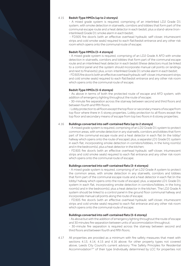#### 4.15 Bedsit-Type HMOs (up to 2 storeys)

- A mixed grade system is required, comprising of an interlinked LD2 Grade D1 system, with smoke detection in stairwells, corridors and lobbies that form part of the communal escape route and a heat detector in each bedsit; plus a stand-alone (noninterlinked) Grade D1 smoke alarm in each bedsit;

- FD30S fire door/s (with an effective overhead hydraulic self-closer, intumescent strips and cold smoke seals) required to each flat/bedsit entrance and any other risk room which opens onto the communal route of escape;

#### Bedsit-Type HMOs (3-4 storeys)

- A mixed grade system is required, comprising of an LD2 Grade A AFD with smoke detection in stairwells, corridors and lobbies that form part of the communal escape route and an interlinked heat detector in each bedsit (these detectors must be linked to a control panel and the system should incorporate manual call points on landings and next to final exits); plus, a non-interlinked Grade D1 smoke alarm in each bedsit; - FD30S fire door/s (with an effective overhead hydraulic self-closer, intumescent strips

and cold smoke seals) required to each flat/bedsit entrance and any other risk room which opens onto the communal route of escape;

#### Bedsit-Type HMOs (5-6 storeys)

- As above in terms of both the protected route of escape and AFD system, with addition of emergency lighting throughout the route of escape;

- 30-minute fire separation across the stairway between second and third floors and between fourth and fifth floors;

- Lobby protection to all floors except the top floor or secondary means of escape from top floor where there in 5 storey properties. Lobby protection to all floors except the top floor and secondary means of escape from top two floors in 6 storey properties;

#### 4.16 Buildings converted into self-contained flats (up to 2 storeys)

- A mixed grade system is required, comprising of an LD2 Grade D1 system to protect common areas, with smoke detection in any stairwells, corridors and lobbies that form part of the communal escape route and a heat detector in each flat (in the lobby/ hallway which opens onto the route of escape); plus, a separate LD1 Grade D1 system in each flat, incorporating smoke detection in corridors/lobbies, in the living room(s) and in the bedroom(s), plus a heat detector in the kitchen;

- FD30S fire door/s (with an effective overhead hydraulic self-closer, intumescent strips and cold smoke seals) required to each flat entrance and any other risk room which opens onto the communal route of escape;

#### Buildings converted into self-contained flats (3-4 storeys)

- A mixed grade system is required, comprising of an LD2 Grade A system to protect the common areas, with smoke detection in any stairwells, corridors and lobbies that form part of the communal escape route and a heat detector in each flat (in the lobby/ hallway which opens onto the route of escape); plus, a separate LD1 Grade D1 system in each flat, incorporating smoke detection in corridors/lobbies, in the living room(s) and in the bedroom(s), plus a heat detector in the kitchen. The LD2 Grade A system should be linked to a control panel in the ground floor communal hallway and incorporate manual call points along the route of escape;

- FD30S fire door/s (with an effective overhead hydraulic self-closer, intumescent strips and cold smoke seals) required to each flat entrance and any other risk room which opens onto the communal route of escape;

#### Buildings converted into self-contained flats (5-6 storey)

- As above but with the addition of emergency lighting throughout the route of escape and 30 minutes fire separation between units of accommodation throughout;

- 30-minute fire separation is required across the stairway between second and third floors and between fourth and fifth floors;

4.17 All properties are provided as a minimum with fire safety measures that meet with sections 4.13, 4.14, 4.15 and 4.16 above; for other property types not covered above, Leeds City Council's current advisory "Fire Safety Principles for Residential Accommodation<sup>14"</sup> of their type (individually determined by LCC for properties not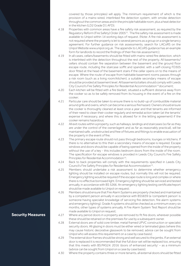covered by those principles) will apply. The minimum requirement of which is the provision of a mains-wired, interlinked fire detection system, with smoke detection throughout the common areas and in the principle habitable room, plus a heat detector in the kitchen (LD2 Grade D1 AFD);

- 4.18 Properties with common areas have a fire safety risk assessment, as required by the Regulatory Reform (Fire Safety) Order 2005<sup>15</sup>. The fire safety risk assessment is made available to Unipol within 14 working days of request. (Note: A fire risk assessment is not required where the property is let to several persons as a group on a single tenancy agreement. For further guidance on risk assessments, search for LACoRS on the Unipol Website www.unipol.org.uk. The appendix to LACoRS guidance has an example form for landlords to record the findings of their fire risk assessment.);
- 4.19 In all cases, cellars/basements should be fitted with mains-wired fire detection, which is interlinked with the detection throughout the rest of the property. All basements/ cellars should contain fire separation between the basement and the ground floor escape route, including the staircase soffit and spandrel, with a self-closing FD30S door fitted at the head of the basement stairs if the cellar opens on to the means of escape. Where the route of escape from habitable basement rooms passes through a risk room (such as a living room/kitchen), a suitable secondary means of escape should be provided at basement level. All basements/cellars should comply with Leeds City Council's Fire Safety Principles for Residential Accommodation<sup>14</sup> document;
- 4.20 Each kitchen will be fitted with a fire blanket, situated a sufficient distance away from the cooker so as to be safely removed from its housing in the event of a fire on the cooker;
- 4.21 Particular care should be taken to ensure there is no build-up of combustible material around grills and ovens, which can become a serious fire hazard. Owners should ensure the cooker is thoroughly cleaned at least once a year and that tenants are informed of their need to clean their cooker regularly and remedial action taken (at the tenants' expense if necessary, and where this is allowed for in the letting agreement) if the cooker remains hazardous;
- 4.22 All exit routes within a property, such as hallways, landings and staircases (so far as they are under the control of the owner/agent and as far as reasonably practical), will be maintained safe, unobstructed and free of fixtures and fittings to enable evacuation of the property in the event of fire;
- 4.23 The primary escape route should not pass through bedrooms, lounges or kitchens. If there is no alternative to this then a secondary means of escape is required. Escape windows and doors should be capable of being opened from the inside of the property without the use of a key - this includes bedroom doors from the inside of the room. The specification for escape windows is provided in Leeds City Council's Fire Safety Principles for Residential Accommodation<sup>14</sup>;
- 4.24 Back to back properties will comply with the requirements specified in Leeds City Council's Fire Safety Principles for Residential Accommodation<sup>14</sup>.
- 4.25 Members should undertake a risk assessment to determine whether emergency lighting should be installed on escape routes, but normally this will not be required. Emergency lighting would be required if the escape route is long and complex or where there is no effective borrowed light. Emergency lighting should be serviced and tested annually, in accordance with BS 5266. An emergency lighting testing certificate/report should be made available to Unipol on request;
- 4.26 Members should ensure that Fire Alarm Systems are properly checked and maintained by a competent person annually in accordance with BS5839 (a 'competent person' is someone having specialist knowledge of servicing fire detection, fire alarm systems and emergency lighting). Grade A systems should be checked as a minimum every six months, other types of systems annually. A Fire Alarm System Test Report should be made available to Unipol on request;
- 4.27 Where any period doors in a property are removed to fit fire doors, wherever possible these should be retained on the premises for use by a subsequent owner.
- 4.28 External doors are of solid core timber, metal framed UPVC construction or specialist security doors. All glazing in doors must be either wired or laminated glass (where this may cause historic decorative glasswork to be removed, advice can be sought from Unipol who will assess this requirement on a case by case basis):
- 4.29 The external door frames should be strong and well secured to the jambs. If an external door is replaced it is recommended that the full door set will be replaced too, ensuring that this meets with BS:PAS24: 2016 'doors of enhanced security' – as a minimum (advice can be sought from Unipol on a case by case basis);
- 4.30 Where the property contains three or more tenants, all external doors should be fitted

**Security Measures**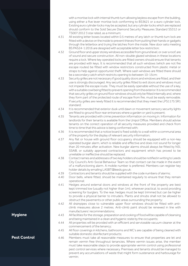with a mortise lock with internal thumb turn allowing keyless escape from the building, using either a five lever mortise lock conforming to BS3621 or a euro cylinder lock. Existing euro cylinder locks may be accepted, but any cylinder locks which are replaced should conform to the Sold Secure Diamond Security Measures Standard SS312 or TS007:2012 3 star rated, as a minimum;

- 4.31 All existing letter boxes located within 0.5 metres of any latch or thumb turn lock are fitted with a device on the inside to prevent thieves from putting their hands or gadgets through the letterbox and trying the latches from the inside. New door sets meeting BS:PAS24-1:2016 are designed with acceptable letter box restriction;
- 4.32 Ground floor and upper storey windows accessible from ground level, or over a roof, are of sound and secure construction. All non-double glazed windows in these locations require a lock. Where key operated locks are fitted owners should ensure that tenants are provided with keys. It is recommended that all such windows (which are not fire escape routes) be fitted with window restrictors constructed from plastic metal or straps to help against opportunist theft. Where sash windows are fitted there should be a secondary catch which restricts opening to between 10-15cm;
- 4.33 Security grilles are not necessary if good quality doors and windows are fitted, and their use is strongly discouraged. Any security grilles fitted to exit doors and windows must not impede the escape route. They must be easily openable without the use of a key, with a suitable cowl being fitted to prevent opening from the exterior. It is recommended that security grilles on ground floor windows should only be fitted internally and, where they form part of the protected route of escape from fire, must be easily removable. If security grilles are newly fitted it is recommended that they meet the LPS1175 SR1 standard;
- 4.34 It is recommended that exterior dusk until dawn or movement sensory security lights are fitted to ground floor rear entrances where a garden or yard is present;
- 4.35 Tenants are provided with crime prevention information on moving in. Information for landlords for their tenants is available from the Unipol Office. Members should advise tenants on the correct operation of all security measures provided and check from time to time that this advice is being conformed with;
- 4.36 It is recommended that a notice board is fixed solidly to a wall within a communal area of the property for the display of relevant security information;
- 4.37 Any flat or house with ground floor occupancy should be equipped with a non-key operated burglar alarm, which is reliable and effective and does not sound for longer than 20 minutes after activation. New burglar alarms should always be fitted by NSI, SSAIB, or suitably approved contractors and equipment which has proved to be unreliable or ineffective should be replaced;
- 4.38 Contact names and addresses of two key holders should be notified in writing to Leeds City Council's Anti-Social Behaviour Team so that contact can be made in the event of a malfunctioning alarm. A mobile number is preferred. Members can register key holder details by emailing LASBT@leeds.gov.uk;
- 4.39 Contractors and tenants should be supplied with the code numbers of alarms;<br>4.40 Door bells, where fitted, should be maintained reqularly to ensure that they
- Door bells, where fitted, should be maintained regularly to ensure that they remain operational;
- 4.41 Hedges around external doors and windows at the front of the property are best kept trimmed low (usually not higher than 1m), wherever practical, to avoid providing screening for burglars. To the rear, hedges must be kept trimmed but can be higher to provide a physical barrier to intruders. Plants and shrubs shall not be allowed to obstruct the pavements or other public areas surrounding the property;
- 4.42 All drainpipes close to vulnerable upper floor windows should be fitted with anticlimb measures above 2 metres. Anti-climb paint should be renewed in line with manufacturers' recommendations;
- 4.43 All facilities for the storage, preparation and cooking of food will be capable of cleansing and being maintained in a clean and hygienic state by the occupants;
- 4.44 All properties will be provided with an efficient and serviceable vacuum cleaner at the commencement of the tenancy;
- 4.45 All floor coverings in kitchens, bathrooms and WC's are capable of being cleaned with suitable domestic disinfectant products;
- 4.46 Members must take all reasonable measures to ensure that properties are let and remain vermin free throughout tenancies. Where vermin issues arise, the member must take reasonable steps to provide appropriate vermin control using professional pest control services where necessary. Premises and tenants should be managed to prevent any accumulations of waste that might form sustenance and harbourage for vermin;

**Hygiene**

**Pest Control**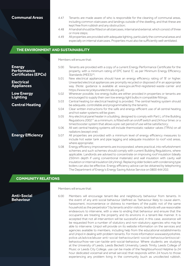**Communal Areas**

- 4.47 Tenants are made aware of who is responsible for the cleaning of communal areas, including common staircases and landings outside of the dwelling, and that these are kept free from rubbish and any obstruction;
- 4.48 A handrail should be fitted on all staircases, internal and external, which consist of three or more steps;
- 4.49 All properties are provided with adequate lighting, particularly the communal areas and especially on internal staircases. Properties must also be sufficiently well ventilated.

# **THE ENVIRONMENT AND SUSTAINABILITY**

**Energy Performance Certificates (EPCs) Electrical Appliances Low Energy Lighting Central Heating Energy Efficiency** Members will ensure that: 5.00 Tenants are provided with a copy of a current Energy Performance Certificate for the property, with a minimum rating of EPC band 'E', as per Minimum Energy Efficiency Standards (MEES)<sup>16</sup>; 5.01 New electrical appliances should have an energy efficiency rating of 'B' or higher. Unwanted electrical appliances are promptly recycled or disposed of in an appropriate way. (Note: guidance is available at www.gov.uk/find-registered-waste-carrier and https://www.recycleyourelectricals.org.uk); 5.02 Wherever possible, low energy bulbs are either provided in properties or tenants are encouraged to supply their own low energy light bulbs in compatible fittings; 5.03 Central heating (or electrical heating) is provided. The central heating system should be adequate, controllable and programmable by the tenants; 5.04 Clear written instructions for the safe and energy-efficient use of all central heating and hot water systems will be given; 5.05 Any electrical panel heater in a building, designed to comply with Part L of the Building Regulations 2002<sup>17</sup> as a minimum, is fitted with an on/off switch and 24 hour timer, or a timed booster system that allows a pre-set period of use will be satisfactory; 5.06 All wet central heating systems will include thermostatic radiator valves (TRVs) on all radiators (except one); 5.07 All properties are provided with a minimum level of energy efficiency measures to include hot water tank and pipe lagging and adequate insulation to roof void areas, where appropriate; 5.08 Energy efficiency improvements are incorporated, where practical, into refurbishment schemes and such schemes should comply with current Building Regulations, where applicable. Landlords are advised to concentrate on improving roof insulation (ideally 250mm depth if using conventional materials) and wall insulation with cavity wall insulation or internal insulation (dry lining). Replacing older boilers with condensing type boilers can also be effective. Energy efficiency advice can be obtained by telephoning The Department of Energy's Energy Saving Advice Service on 0800 444 202;

# **COMMUNITY RELATIONS**

**Anti-Social Behaviour**

Members will ensure that:

6.00 Members will encourage tenant-like and neighbourly behaviour from tenants. In the event of any anti-social behaviour (defined as "behaviour likely to cause alarm, harassment, inconvenience or distress to members of the public not of the same household as the perpetrator") by tenants and/or visitors, landlords will use reasonable endeavours to intervene, with a view to ending that behaviour and ensure that the occupants are treating the property and its environs in a tenant-like manner. It is accepted that not all intervention will be successful and, in this case, assistance will be requested from a number of statutory and non-statutory agencies who may be able to intervene. Unipol will provide on its website information on the services and agencies available to members, including help from the educational establishments and Unipol in dealing with problem tenants. For more information www.westyorkshire. police.uk/advice/abuse-anti-social-behaviour/anti-social-behaviour/antisocialbehaviour/how-we-can-tackle-anti-social-behaviour. Where students are studying at the University of Leeds, Leeds Beckett University, Leeds Trinity, Leeds College of Music or Leeds City College, use can be made of the Neighbourhood Helpline (a 24 hour dedicated voicemail and email service) that responds within 24 hours to those experiencing any problem living in the community (such as uncollected rubbish,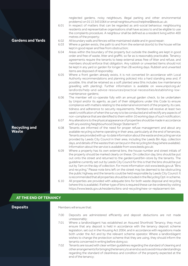neglected gardens, noisy neighbours, illegal parking and other environmental problems) on 0113 3431064 or email neighbourhood.helpline@leeds.ac.uk;

- 6.01 In respect of matters that can be regarded as anti-social behaviour, neighbouring residents and representative organisations shall have access to and be eligible to use the complaints procedure. A neighbour shall be defined as a resident living within 400 metres of the property;
- 6.02 All boundary walls and fences will be maintained stable and in good repair;<br>6.03 Where a garden exists, the path to and from the external door(s) to the h
- Where a garden exists, the path to and from the external door(s) to the house will be kept in good repair and free from obstruction;
- 6.04 Areas within the boundary of the property but outside the dwelling are kept in good order and free of waste, litter and graffiti, so far as is reasonably practicable. Tenancy agreements require the tenants to keep external areas free of litter and refuse, and members should enforce that obligation. Any rubbish or unwanted items should not be kept in any yard or garden for longer than 28 working days. Rubbish and unwanted items are disposed of responsibly;
- 6.05 Where a front garden already exists, it is not converted (in accordance with Local Authority recommendations and planning policies) into a hard standing area and, if possible, this shall be retained as a soft planted area (this includes low maintenance gravelling with planting). Further information is available on www.unipol.org.uk/ landlords/help-and-advice-resources/practical-necessities/establishing-lowmaintenance-gardens;
- 6.06 The member will co-operate fully with an annual garden check, to be undertaken by Unipol and/or its agents, as part of their obligations under this Code to ensure compliance with matters relating to the external environment of the property, its care, tidiness and adherence to security requirements. Members will receive at least two week's notification of when the survey is to be conducted and will rectify any aspects of non-compliance that are identified to them within 10 working days of such notification;
- 6.07 Any alterations to the physical appearance of properties should be made in accordance with any existing Neighbourhood Design Statement<sup>18</sup>.
- 6.08 Tenants are informed of the need for proper refuse management and about any available recycling scheme operating in their area, particularly at the end of tenancies. Tenants are provided with up-to date information about the waste and recycling service provided by Leeds City Council in their area, including the Leeds Bin App, collection days, and details of the wastes that can be put in the recycling bin/bag (where available). Information about the service is available from www.leeds.gov.uk;
- 6.09 Where a property has its own external bins, the house number and street initials of the property should be marked clearly on these. On collection day, bins should be put out onto the street and returned to the garden/yard/bin-store by the tenants. The guideline currently set out by Leeds City Council for this is that the bins should be put out by 7am on the day of collection. For more information visit www.leeds.gov.uk "Bins and recycling." Please note bins left on the street may be deemed to be obstructing the public highway and the tenants could be held responsible by Leeds City Council. It is recommended that all properties should be included in the Recycling Opt-in scheme.
- 6.10 All properties are provided with adequate bins for both waste disposal and recycling (where this is available). If either type of bins is required these can be ordered by visiting https://www.leeds.gov.uk/residents/bins-and-recycling/new-or-replacement-bin.

# **AT THE END OF TENANCY**

# **Deposits**

**Recycling and** 

**Waste**

**Gardens and Yards**

Members will ensure that:

- 7.00 Deposits are administered efficiently and deposit deductions are not made unreasonably;
	- 7.01 Where a landlord/agent has established an Assured Shorthold Tenancy, they must ensure that any deposit is held in accordance with the tenancy deposit scheme legislation, set out in the Housing Act 2004, and in accordance with regulations made both under the Act and by the relevant scheme operator. Where a landlord/agent wishes to change the protection scheme that they are using, they should inform the tenants concerned in writing before doing so;
	- 7.02 Tenants are issued with clear written guidelines regarding the standard of cleaning and other arrangements for bringing the tenancy to an end so as to avoid misunderstandings regarding the standard of cleanliness and condition of the property expected at the end of the tenancy;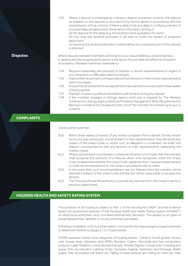|     | 7.03 | Where a deposit is protected by a tenancy deposit protection scheme, the deposit<br>(or balance on the deposit) is returned to the former tenant in accordance with the<br>requirements of that scheme. If there is likely to be any delay in notifying a tenant of<br>proposed deposit deductions, the tenant is informed in writing of:<br>(a) the reasons for the delay (e.g. the landlord needs quotations for work)<br>(b) how long the landlord estimates it will take to notify the tenant of proposed<br>deductions<br>(c) how long the landlord estimates it will be before any undisputed part of the deposit<br>is returned; |
|-----|------|-----------------------------------------------------------------------------------------------------------------------------------------------------------------------------------------------------------------------------------------------------------------------------------------------------------------------------------------------------------------------------------------------------------------------------------------------------------------------------------------------------------------------------------------------------------------------------------------------------------------------------------------|
| tes |      | Where disputes between members and tenants occur, reasonableness and promptness<br>in dealing with the issues by both parties is the key to the amicable and effective resolution<br>of problems. Members therefore undertake to:                                                                                                                                                                                                                                                                                                                                                                                                       |
|     | 7.04 | Respond reasonably and promptly to tenants or tenant representatives in regard to<br>any complaints or difficulties raised by tenants;                                                                                                                                                                                                                                                                                                                                                                                                                                                                                                  |
|     | 7.05 | Make written response to correspondence from tenants or their chosen representative<br>within two weeks:                                                                                                                                                                                                                                                                                                                                                                                                                                                                                                                                |
|     | 7.06 | Ensure that all settlements and agreements reached are honoured within three weeks<br>of being agreed;                                                                                                                                                                                                                                                                                                                                                                                                                                                                                                                                  |
|     | 7.07 | Maintain courteous professional relations with tenants during any dispute;                                                                                                                                                                                                                                                                                                                                                                                                                                                                                                                                                              |
|     | 7.08 | If the member engages in lettings agency work and is required by The Redress<br>Schemes for Lettings Agency Work and Property Management Work (Requirement to<br>Belong to a Scheme etc) (England) Order 2014 <sup>20</sup> the member should belong to such a                                                                                                                                                                                                                                                                                                                                                                          |

# **COMPLAINTS**

**Disput** 

Owners will ensure that:

scheme;

- 8.00 Within three weeks of receipt of any written complaint from a tenant, former tenant (up to one year previously), a local resident or their representative, they will rectify any breach of the Unipol Code or, where such an allegation is contested, will enter into relevant correspondence with any tenant/s or their representative, addressing the matters raised;
- 8.01 Where such a breach is contested, or where rectification is not made, then the member shall recognise the authority of a Tribunal, which s/he recognises under the Unipol Code, to determine whether the Unipol Code, agreed by them, has been breached and to make recommendation/s to the owner in accordance with its views;
- 8.02 In the event that such recommendations are not followed then the member will be deemed in breach of the Unipol Code and this fact will be made public to prospective tenants;
- 8.03 The Tribunal will have the authority to exclude any member from the Unipol Code for a period as determined.

# **HOUSING HEALTH AND SAFETY RATING SYSTEM**

The condition of all housing is subject to Part 1 of the Housing Act 2004 $^{25}$  and the evidence based risk assessment process of the Housing Health and Safety Rating System (HHSRS)<sup>24</sup>, on which local authorities must now base enforcement decisions. This applies to all types of residential premises, whether or not any amenities are shared.

Following a complaint, or for any other reason, a local authority may arrange to inspect premises to determine whether a category 1 or 2 hazard exists.

HHSRS assesses twenty-nine categories of housing hazard – Damp & mould growth; Excess cold; Excess heat; Asbestos (and MMF); Biocides; Carbon Monoxide and fuel combustion products; Lead; Radiation; Uncombusted fuel gas; Volatile Organic Compounds; Crowding and space; Entry by intruders; Lighting; Noise; Domestic hygiene, Sanitation and Drainage; Water supply; Falls associated with baths etc; Falling on level surfaces etc; Falling on stairs etc; Falls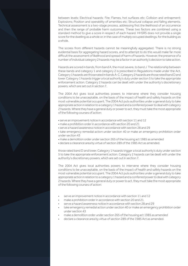between levels; Electrical hazards; Fire; Flames, hot surfaces etc; Collision and entrapment; Explosions; Position and operability of amenities etc; Structural collapse and falling elements. Technical assessment is a two-stage process, addressing first the likelihood of an occurrence and then the range of probable harm outcomes. These two factors are combined using a standard method to give a score in respect of each hazard. HHSRS does not provide a single score for the dwelling as a whole or, in the case of multiply occupied dwellings, for the building as a whole.

The scores from different hazards cannot be meaningfully aggregated. There is no strong evidential basis for aggregating hazard scores, and to attempt to do this would make far more difficult the assessment of likelihood and spread of harm of hazards. However, the presence of a number of individual category 2 hazards may be a factor in an authority's decision to take action.

Hazards are scored in bands, from band A, the most severe, to band J. The relationship between these bands and category 1 and category 2 is prescribed in Regulations made under the Act. Category 1 hazards are those rated in bands A-C. Category 2 hazards are those rated band D and lower. Category 1 hazards trigger a local authority's duty under section 5 to take the appropriate enforcement action. Category 2 hazards can be dealt with under the authority's discretionary powers, which are set out in section 7.

The 2004 Act gives local authorities powers to intervene where they consider housing conditions to be unacceptable, on the basis of the impact of health and safety hazards on the most vulnerable potential occupant. The 2004 Act puts authorities under a general duty to take appropriate action in relation to a category 1 hazard and a conferred power to deal with category 2 hazards. Where they have a general duty or power to act, they must take the most appropriate of the following courses of action:

- serve an improvement notice in accordance with section 11 and 12
- make a prohibition order in accordance with section 20 and 21
- serve a hazard awareness notice in accordance with section 28 and 29

• take emergency remedial action under section 40 or make an emergency prohibition order under section 43

- make a demolition order under section 265 of the housing act 1985 as amended
- declare a clearance area by virtue of section 289 of the 1985 Act as amended.

those rated band D and lower. Category 1 hazards trigger a local authority's duty under section 5 to take the appropriate enforcement action. Category 2 hazards can be dealt with under the authority's discretionary powers, which are set out in section 7.

The 2004 Act gives local authorities powers to intervene where they consider housing conditions to be unacceptable, on the basis of the impact of health and safety hazards on the most vulnerable potential occupant. The 2004 Act puts authorities under a general duty to take appropriate action in relation to a category 1 hazard and a conferred power to deal with category 2 hazards. Where they have a general duty or power to act, they must take the most appropriate of the following courses of action:

- serve an improvement notice in accordance with section 11 and 12
- make a prohibition order in accordance with section 20 and 21
- serve a hazard awareness notice in accordance with section 28 and 29
	- take emergency remedial action under section 40 or make an emergency prohibition order under section 43
- make a demolition order under section 265 of the housing act 1985 as amended
- declare a clearance area by virtue of section 289 of the 1985 Act as amended.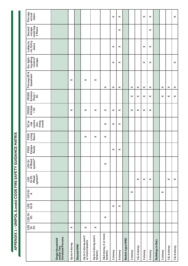| Fire sep.<br>across<br>stairs                                 |                                                            |                       |            |                                         |                                 |                                  | $\times$              | $\times$              |                 |                |                       | $\times$              | $\times$              |                           |          |                | $\pmb{\times}$        |
|---------------------------------------------------------------|------------------------------------------------------------|-----------------------|------------|-----------------------------------------|---------------------------------|----------------------------------|-----------------------|-----------------------|-----------------|----------------|-----------------------|-----------------------|-----------------------|---------------------------|----------|----------------|-----------------------|
| route top<br>2 floors<br>Second<br>escape                     |                                                            |                       |            |                                         |                                 |                                  |                       | $\pmb{\times}$        |                 |                |                       |                       | $\pmb{\times}$        |                           |          |                |                       |
| Lobby to<br>rm. Entry<br>doors                                |                                                            |                       |            |                                         |                                 |                                  | ×                     | $\boldsymbol{\times}$ |                 |                |                       | ×                     | ×                     |                           |          |                |                       |
| Em. light-<br>ingalong<br>route of<br>escape                  |                                                            |                       |            |                                         |                                 |                                  | ×                     | $\pmb{\times}$        |                 |                |                       | $\boldsymbol{\times}$ | ×                     |                           |          |                | $\pmb{\times}$        |
| Fire sep GF &<br>basement                                     |                                                            | $\boldsymbol{\times}$ |            | ×                                       | $\boldsymbol{\times}$           | ×                                | ×                     | $\pmb{\times}$        |                 | $\pmb{\times}$ | $\boldsymbol{\times}$ | $\pmb{\times}$        | $\boldsymbol{\times}$ |                           | ×        | $\pmb{\times}$ | $\boldsymbol{\times}$ |
| Enrance<br>Door +<br>SC<br>FD30S                              |                                                            |                       |            |                                         |                                 |                                  |                       |                       |                 | ×              | $\pmb{\times}$        | $\pmb{\times}$        | $\pmb{\times}$        |                           | ×        | $\pmb{\times}$ | $\pmb{\times}$        |
| Kitchen<br>FD30S<br>$-5C$                                     |                                                            | $\times$              |            | ×                                       | $\times$                        | ×                                | ×                     | $\boldsymbol{\times}$ |                 | ×              | $\boldsymbol{\times}$ | $\boldsymbol{\times}$ | ×                     |                           |          |                |                       |
| rooms<br>SC <sub>to</sub><br>living<br>room)<br>(inc.<br>risk |                                                            |                       |            |                                         |                                 | ×                                | $\boldsymbol{\times}$ | $\boldsymbol{\times}$ |                 |                |                       |                       |                       |                           |          |                |                       |
| Living<br>Room<br>FD30                                        |                                                            |                       |            | ×                                       | $\times$                        | ×                                |                       |                       |                 |                |                       |                       |                       |                           |          |                |                       |
| FD30<br>Escape<br>Route                                       |                                                            |                       |            |                                         |                                 |                                  | $\times$              | $\times$              |                 |                |                       |                       |                       |                           |          |                |                       |
| LD1Gr<br>A Mixed<br>system*                                   |                                                            |                       |            |                                         |                                 | $\pmb{\times}$                   |                       |                       |                 |                |                       |                       |                       |                           |          |                |                       |
| system*<br>LD1<br>GrD1<br>Mixed                               |                                                            |                       |            |                                         |                                 |                                  |                       |                       |                 |                | $\pmb{\times}$        | $\pmb{\times}$        | ×                     |                           |          | $\times$       | $\pmb{\times}$        |
| $L$ D1 Gr                                                     |                                                            |                       |            |                                         |                                 |                                  |                       |                       |                 | $\pmb{\times}$ |                       |                       |                       |                           | $\times$ |                |                       |
| 102<br>G-D                                                    |                                                            |                       |            |                                         |                                 |                                  | $\times$              | $\pmb{\times}$        |                 |                |                       |                       |                       |                           |          |                |                       |
| יס נם<br>גם<br>גם                                             |                                                            |                       |            |                                         |                                 | $\pmb{\times}$                   |                       |                       |                 |                |                       |                       |                       |                           |          |                |                       |
| <u>ິ</u><br>ຊີອັ                                              |                                                            | $\times$              |            | $\times$                                | $\pmb{\times}$                  |                                  |                       |                       |                 |                |                       |                       |                       |                           |          |                |                       |
|                                                               | <b>Unrelated Persons</b><br>Single Household<br>and/or Two | Up to 4 storey        | Shared HMO | Up to 2 storey and 5<br>or more tenants | Up to 4 storey and 4<br>tenants | 3&4 storey, 5 or more<br>tenants | 5 storey              | 6storey               | Bedsit-type HMO | 2 storey       | 3&4 storey            | 5 storey              | 6storey               | <b>Buildings in flats</b> | 2 storey | 3 & 4 storey   | 5 & 6 storey          |

APPENDIX 1 - UNIPOL (Leeds) CODE FIRE SAFETY GUIDANCE MATRIX **APPENDIX 1 - UNIPOL (Leeds) CODE FIRE SAFETY GUIDANCE MATRIX**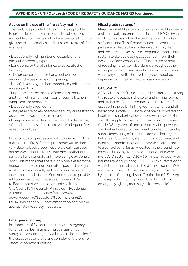# **APPENDIX 1 - UNIPOL (Leeds) CODE FIRE SAFETY GUIDANCE MATRIX (continued)**

#### Advice on the use of the fire safety matrix

The guidance provided in the matrix is applicable to properties of normal fire risk. The advice is not applicable to properties with characteristics that may give rise to abnormally high fire risk as a result of, for example:

• Exceptionally high number of occupiers for a particular property type;

• Long complex travel distance to evacuate the building;

• The presence of final exit and bedroom doors requiring the use of a key for opening;

• Unsafe layout e.g. kitchen immediately adjacent to an escape door;

• Rooms where the means of escape is through another high fire risk room, e.g. through a kitchen, living room, or bedroom

• Exceptionally large rooms;

- The presence of key operated security grilles fixed to escape windows and/or external doors;
- Disrepair, defects, deficiencies and obsolescence;
- Critical elements of structure with inadequate fire resisting qualities.

Back to Back properties are not included within this matrix as the fire safety requirements within them vary. Back to back properties are typically terraced houses which back directly onto one another at the party wall and generally only have a single exit/entry door. This means that there is only one exit from the house and the escape route often passes through a risk room. As a result, bedrooms may become inner rooms and it is therefore necessary to provide additional fire safety measures. Owners of Back to Back properties should seek advice from Leeds City Council's "Fire Safety Principles in Residential Accommodation" guidance (https://www.leeds. gov.uk/docs/Fire%20safety%20principles%20 for%20residential%20accommodation.pdf) on the appropriate fire safety measures.

# Emergency lighting

In properties of five or more storeys, emergency lighting must be installed. In properties of four storeys or less, emergency will need to be installed if the escape route is long and complex or there is no effective borrowed lighting.

#### Mixed grade systems \*

Mixed grade AFD systems combine two AFD systems and are usually recommended in bedsit HMOs (with cooking facilities within the bedsits) and in blocks of self-contained flats. Escape routes and common parts are protected by an interlinked AFD system and the individual units have a separate stand-alone system to alert a sleeping occupant of fire in their own unit of accommodation. This has the benefit of reducing nuisance/false alarms throughout the whole property caused by activities such as cooking within any one unit. The level of system required is dependent on the risk the premises presents.

# GLOSSARY

AFD – automatic fire detection; LD2 – detection along the route of escape, in the cellar and in living rooms and kitchens; LD1 – detection along the route of escape, in the cellar, in living rooms, kitchens and all bedrooms; Grade D1 – system of mains-powered and interlinked smoke/heat detectors, with a sealed-in standby supply (consisting of a battery or batteries); Grade D2 – system of one or more mains-powered smoke/heat detectors, each with an integral standby supply (consisting of a user replaceable battery or batteries); Grade A – system of mains-powered and interlinked smoke/heat detectors which are linked to a control panel (usually located in the ground floor hallway); Mixed system – a combination of two or more AFD systems.; FD30 – 30 minute fire door with intumescent strips only; FD30S – 30 minute fire door with intumescent strips and cold smoke seals; EW – escape window; HD – heat detector; SC – overhead hydraulic self-closing device (for fire doors); Fire sep – fire separation; GF – ground floor; Em. lighting – emergency lighting (normally risk assessable).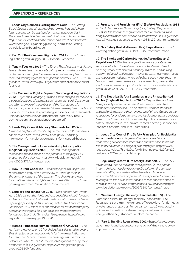# **APPENDIX 2 – REFERENCES**

1. Leeds City Council's Letting Board Code – *The Letting Board Code is a set of rules which determine how and where letting boards can be displayed on residential properties in the Area of Special Advertisement Control (also known as the Regulation 7 Direction area) in inner north west Leeds:* https:// www.leeds.gov.uk/planning/planning-permission/lettingboards/letting-board-code.

2. Part 2 of the Consumer Rights Act 2015 – https://www. legislation.gov.uk/ukpga/2015/15/part/2/enacted

3. Tenant Fees Act 2019 *– The Tenant Fees Act bans most letting fees and caps tenancy deposits paid by tenants in the private rented sector in England. The ban on tenant fees applies to new or renewed tenancy agreements signed on or after 1 June 2019. Full guidance:* https://www.gov.uk/government/collections/tenantfees-act

#### 4. The Consumer Rights (Payment Surcharges) Regulations

2012 *– Payment surcharging is when a fee is charged for the use of a particular means of payment, such as a credit card. Consumers are often unaware of these fees until the final stages of a transaction, when a purchase decision has already been made. Full guidance:* https://assets.publishing.service.gov.uk/government/ uploads/system/uploads/attachment\_data/file/718812/ payment-surcharges-guidance-update.pdf

#### 5. Leeds City Council Advisory Standards for HMOs *–*

*Guidance on physical amenity requirements for HMO properties can be found here:* https://www.leeds.gov.uk/housing/ information-for-landlords/conditions-for-licensed-houses

6. The Management of Houses in Multiple Occupation (England) Regulations 2006 *– The HMO management regulations impose duties on the person(s) managing HMO properties. Full guidance:* https://www.legislation.gov.uk/ uksi/2006/372/contents/made

7. How To Rent Checklist *– Landlords/agents must provide tenants with a copy of the latest How to Rent Checklist at the commencement of the tenancy. The checklist provides information on tenants' rights and responsibilities:* https://www. gov.uk/government/publications/how-to-rent

8. Landlord and Tenant Act 1985 *– The Landlord and Tenant Act 1985 sets out the rights and responsibilities of both landlord and tenant. Section 11 of the Act sets out who is responsible for repairing a property whilst it is being rented. The Landlord and Tenant Act 1985 refers to all short leases for residential property and tenancies agreed for a period of less than seven years i.e. Assured Shorthold Tenancies. Full guidance:* https://www. legislation.gov.uk/ukpga/1985/70

9. Homes (Fitness for Human Habitation) Act 2018 *– "The Act" came into force on 20 March 2019. It is designed to ensure that all rented accommodation is fit for human habitation and to strengthen tenants' means of redress against the minority of landlords who do not fulfil their legal obligations to keep their properties safe. Full guidance:* https://www.legislation.gov.uk/ ukpga/2018/34/enacted

10. Furniture and Furnishings (Fire) (Safety) Regulations 1988

*– The UK Furniture and Furnishings (Fire) (Safety) Regulations 1988 set fire resistance requirements for cover materials and fillings used to make domestic upholstered furniture. Full guidance:* https://www.legislation.gov.uk/uksi/1988/1324/contents/made

11. Gas Safety (Installation and Use) Regulations – https:// www.legislation.gov.uk/uksi/1998/2451/contents/made

12. The Smoke and Carbon Monoxide Alarm (England) Regulations 2015 *– These regulations require private rented sector landlords to have at least one smoke alarm installed on every storey of their rental property (which is used as living accommodation), and a carbon monoxide alarm in any room used as living accommodation where solid fuel is used - after that, the landlord must make sure the alarms are in working order at the start of each new tenancy. Full guidance:* https://www.legislation. gov.uk/ukdsi/2015/9780111133439/contents

13. The Electrical Safety Standards in the Private Rented Sector (England) Regulations 2020 – *Require that landlords have property electrics checked at least every 5 years by a properly qualified person. The electrics must meet standards and landlords must give their tenants proof of this. Guides on the regulations for landlords, tenants and local authorities are available here:* https://www.gov.uk/government/publications/electricalsafety-standards-in-the-private-rented-sector-guidance-forlandlords-tenants-and-local-authorities.

14. Leeds City Council Fire Safety Principles for Residential Accommodation *– This guide offers practical advice on undertaking fire risk assessments and contains case studies of fire safety solutions in a range of property types.* https://www. leeds.gov.uk/docs/Fire%20safety%20principles%20for%20 residential%20accommodation.pdf

15. Regulatory Reform (Fire Safety) Order 2005 – *The FSO introduced duties on the responsible person, (ie. the person in control of premises) in relation to fire safety in the common parts of HMOs, flats, maisonettes, bedsits and sheltered accommodation where no personal care is provided. The duty is to carry out a fire risk assessment and to take specific action to minimise the risk of fire in common parts. Full guidance:* https:// www.legislation.gov.uk/uksi/2005/1541/contents/made

16. Minimum Energy Efficiency Standards (MEES) - The Domestic Minimum Energy Efficiency Standard (MEES) Regulations set a minimum energy efficiency level for domestic private rented properties. Full guidance: https://www.gov.uk/ guidance/domestic-private-rented-property-minimumenergy-efficiency-standard-landlord-guidance

17. (Part L) Building Regulations 2002 - https://www.gov.uk/ government/publications/conservation-of-fuel-and-powerapproved-document-l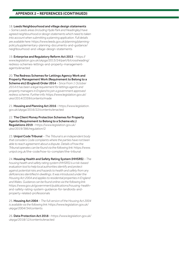18. Leeds Neighbourhood and village design statements

– *Some Leeds areas (including Hyde Park and Headingley) have agreed neighbourhood or design statements which need to taken into account when submitting a planning application. Full details are available here:* https://www.leeds.gov.uk/planning/planningpolicy/supplementary-planning-documents-and-guidance/ neighbourhood-and-village-design-statements

19. Enterprise and Regulatory Reform Act 2013 *–* https:// www.legislation.gov.uk/ukpga/2013/24/part/6/crossheading/ redress-schemes-lettings-and-property-managementagents/enacted

20. The Redress Schemes for Lettings Agency Work and Property Management Work (Requirement to Belong to a Scheme etc) (England) Order 2014 – *Since From 1 October 2014 it has been a legal requirement for lettings agents and property managers in England to join a government approved redress scheme. Further info:* https://www.legislation.gov.uk/ uksi/2014/2359/contents/made

21. Housing and Planning Act 2016 *–* https://www.legislation. gov.uk/ukpga/2016/22/contents/enacted

22. The Client Money Protection Schemes for Property Agents (Requirement to Belong to a Scheme etc.) Regulations 2019 *–* https://www.legislation.gov.uk/ uksi/2019/386/regulation/2

23. Unipol Code Tribunal *– The Tribunal is an independent body that considers Code complaints where the parties have not been able to reach agreement about a dispute. Details of how the Tribunal operates can be found via the following link:* https://www. unipol.org.uk/the-code/how-to-complain/the-tribunal

24. Housing Health and Safety Rating System (HHSRS) *– The housing health and safety rating system (HHSRS) is a risk-based evaluation tool to help local authorities identify and protect against potential risks and hazards to health and safety from any deficiencies identified in dwellings. It was introduced under the Housing Act 2004 and applies to residential properties in England and Wales. Guidance can be found online via the following link:* https://www.gov.uk/government/publications/housing-healthand-safety-rating-system-guidance-for-landlords-andproperty-related-professionals

25. Housing Act 2004 – *The full version of the Housing Act 2004 is available via the following link:* https://www.legislation.gov.uk/ ukpga/2004/34/contents

26. Data Protection Act 2018 *–* https://www.legislation.gov.uk/ ukpga/2018/12/contents/enacted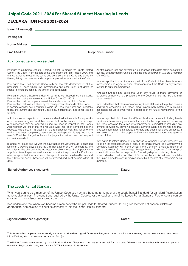# **Unipol Code 2021-2024 For Shared Student Housing in Leeds**

# **DECLARATION FOR 2021-2024**

| $I/We$ (full name(s)):<br><u>and the contract of the contract of the contract of the contract of the contract of the contract of the contract of the contract of the contract of the contract of the contract of the contract of the contract of the contr</u> |                                                                                                                                                                                                                                                           |
|----------------------------------------------------------------------------------------------------------------------------------------------------------------------------------------------------------------------------------------------------------------|-----------------------------------------------------------------------------------------------------------------------------------------------------------------------------------------------------------------------------------------------------------|
| Trading as:<br><u> 1980 - Jan Samuel Barbara, martin da shekara ta 1980 - An tsara tsara tsara tsara tsara tsara tsara tsara tsa</u>                                                                                                                           |                                                                                                                                                                                                                                                           |
| Home Address:<br><u> 1989 - Andrea Santa Alemania, amerikan personal (h. 1989).</u>                                                                                                                                                                            |                                                                                                                                                                                                                                                           |
| <b>Email Address:</b>                                                                                                                                                                                                                                          | Telephone Number:<br><u> 1989 - Jan Sterling Sterling and Sterling Sterling and Sterling and Sterling and Sterling and Sterling and Sterling and Sterling and Sterling and Sterling and Sterling and Sterling and Sterling and Sterling and Sterling </u> |

# Acknowledge and agree that:

I/we wish to join Unipol Code for Shared Student Housing in the Private Rented Sector ("the Code") from the date of this declaration until 31st August 2024, and that we agree to meet all the terms and conditions of the Code and abide by the regulatory mechanisms and complaints procedure as stated in the Code.

I/we agree that I will provide Unipol with an accurate declaration of all the properties in Leeds which I/we own/manage and either rent to students or intend to rent to students at the time of this declaration.

I/we further declare that my conduct will be in line with that outlined in the Code. I/ we confirm that I/ we have read the Unipol Code 2021-2024.

I/ we confirm that my properties meet the standards of the Unipol Code.

I/ we confirm that I/we will abide by the management standards of the Code. In consideration for being permitted to join the Code, I/we agree and undertake to pay the current and any future Code fees, including any additional fees as follows:

a) In the case of Inspections, if issues are identified, a timetable for any works of procedures is agreed and then, dependent on the nature of the findings, a re-inspection may be required. During this short re-inspection, the Codes Administrator will check that the required work has been completed to the expected standard. If it is clear from the re-inspection visit that not all of the works have been completed, then a second re-inspection is required and a fee of £75 will be charged to the landlord/agent for that and each subsequent inspection needed.

b) Unipol will aim to give five working days' notice of a visit. If the visit is changed less than 2 working days before the visit then a fee of £50 will be charged. The same fee will be charged if the inspector is unable to enter the property at the appointed time. Inspectors are instructed to wait at the property for 15 minutes after the appointed time, after which the appointment is considered broken and the £50 fee will apply. These fees will be invoiced and must be paid within 30 days.

All of the above fees and payments are correct as at the date of this declaration but may be amended by Unipol during the time period when I/we are a member of the Code.

I/we accept that it is an important part of the Code to inform tenants of our membership and agree to place information about the Code on any website relating to our accommodation.

I/we acknowledge and agree that upon any failure to make payments or otherwise comply with the provisions of the Code then our membership may be terminated.

I/we understand that information about my Code status is in the public domain and will be accessible to all those using Unipol's web system and will remain accessible for up to three years regardless of my future membership of the Code.

I/we accept that Unipol and its affiliated business partners including Leeds City Council may use my personal information for the purpose of administering the Code, checking the suitability of landlords for accreditation including any criminal convictions, providing services, administration, and training and may disclose information to its service providers and agents for these purposes. If my personal details or the properties I/we own/manage changes I/we agree to inform Unipol.

I/we agree to inform Unipol of any change of ownership of any property (as listed on the attached schedule) and, if the landlord/owner is a Company the Company Secretary will inform Unipol if the Company is sold to another or where a majority of shareholdings changes hands. Changes of ownership or control will be notified to Unipol within 5 working days of this taking place. I/ we understand that a condition of Code membership is that I/we must take the Unipol online landlord training course within 6 months of membership being awarded.

| Signed (Authorised signatory): | Dated: |
|--------------------------------|--------|
|--------------------------------|--------|

# The Leeds Rental Standard

When you sign to be a member of the Unipol Code you normally become a member of the Leeds Rental Standard for Landlord Accreditation at no additional cost. The conditions required by the Unipol Code cover the requirements of the Leeds Rental Standard. Further details can be obtained on: www.leedsrentalstandard.org.uk

I/we understand that when I/we become a member of the Unipol Code for Shared Student Housing I consent/do not consent (delete as appropriate, non deletion to count as consent) to join the Leeds Rental Standard.

| Signed (Authorised signatory): | Dated: |
|--------------------------------|--------|
|--------------------------------|--------|

This form can be completed electronically but must be printed and signed. Once complete, return it to: Unipol Student Homes, 155-157 Woodhouse Lane, Leeds, LS2 3ED along with the property declaration form(s)

The Unipol Code is administered by Unipol Student Homes. Telephone 0113 205 3406 and ask for the Codes Administrator for further information or general enquiries. Registered Charity No 1063492 VAT Registration No 69884549